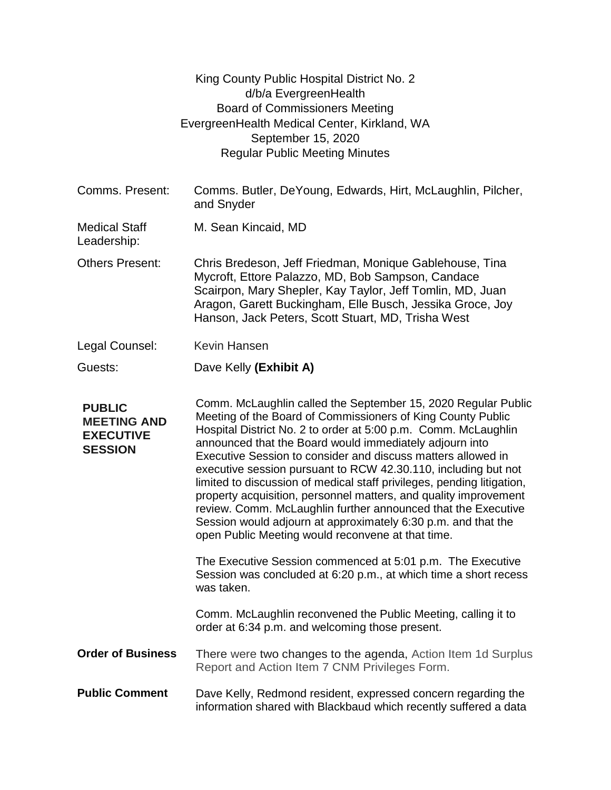|                                                                           | King County Public Hospital District No. 2<br>d/b/a EvergreenHealth<br><b>Board of Commissioners Meeting</b><br>EvergreenHealth Medical Center, Kirkland, WA<br>September 15, 2020<br><b>Regular Public Meeting Minutes</b>                                                                                                                                                                                                                                                                                                                                                                                                                                                                                                      |
|---------------------------------------------------------------------------|----------------------------------------------------------------------------------------------------------------------------------------------------------------------------------------------------------------------------------------------------------------------------------------------------------------------------------------------------------------------------------------------------------------------------------------------------------------------------------------------------------------------------------------------------------------------------------------------------------------------------------------------------------------------------------------------------------------------------------|
| Comms. Present:                                                           | Comms. Butler, DeYoung, Edwards, Hirt, McLaughlin, Pilcher,<br>and Snyder                                                                                                                                                                                                                                                                                                                                                                                                                                                                                                                                                                                                                                                        |
| <b>Medical Staff</b><br>Leadership:                                       | M. Sean Kincaid, MD                                                                                                                                                                                                                                                                                                                                                                                                                                                                                                                                                                                                                                                                                                              |
| <b>Others Present:</b>                                                    | Chris Bredeson, Jeff Friedman, Monique Gablehouse, Tina<br>Mycroft, Ettore Palazzo, MD, Bob Sampson, Candace<br>Scairpon, Mary Shepler, Kay Taylor, Jeff Tomlin, MD, Juan<br>Aragon, Garett Buckingham, Elle Busch, Jessika Groce, Joy<br>Hanson, Jack Peters, Scott Stuart, MD, Trisha West                                                                                                                                                                                                                                                                                                                                                                                                                                     |
| Legal Counsel:                                                            | Kevin Hansen                                                                                                                                                                                                                                                                                                                                                                                                                                                                                                                                                                                                                                                                                                                     |
| Guests:                                                                   | Dave Kelly (Exhibit A)                                                                                                                                                                                                                                                                                                                                                                                                                                                                                                                                                                                                                                                                                                           |
| <b>PUBLIC</b><br><b>MEETING AND</b><br><b>EXECUTIVE</b><br><b>SESSION</b> | Comm. McLaughlin called the September 15, 2020 Regular Public<br>Meeting of the Board of Commissioners of King County Public<br>Hospital District No. 2 to order at 5:00 p.m. Comm. McLaughlin<br>announced that the Board would immediately adjourn into<br>Executive Session to consider and discuss matters allowed in<br>executive session pursuant to RCW 42.30.110, including but not<br>limited to discussion of medical staff privileges, pending litigation,<br>property acquisition, personnel matters, and quality improvement<br>review. Comm. McLaughlin further announced that the Executive<br>Session would adjourn at approximately 6:30 p.m. and that the<br>open Public Meeting would reconvene at that time. |
|                                                                           | The Executive Session commenced at 5:01 p.m. The Executive<br>Session was concluded at 6:20 p.m., at which time a short recess<br>was taken.                                                                                                                                                                                                                                                                                                                                                                                                                                                                                                                                                                                     |
|                                                                           | Comm. McLaughlin reconvened the Public Meeting, calling it to<br>order at 6:34 p.m. and welcoming those present.                                                                                                                                                                                                                                                                                                                                                                                                                                                                                                                                                                                                                 |
| <b>Order of Business</b>                                                  | There were two changes to the agenda, Action Item 1d Surplus<br>Report and Action Item 7 CNM Privileges Form.                                                                                                                                                                                                                                                                                                                                                                                                                                                                                                                                                                                                                    |
| <b>Public Comment</b>                                                     | Dave Kelly, Redmond resident, expressed concern regarding the<br>information shared with Blackbaud which recently suffered a data                                                                                                                                                                                                                                                                                                                                                                                                                                                                                                                                                                                                |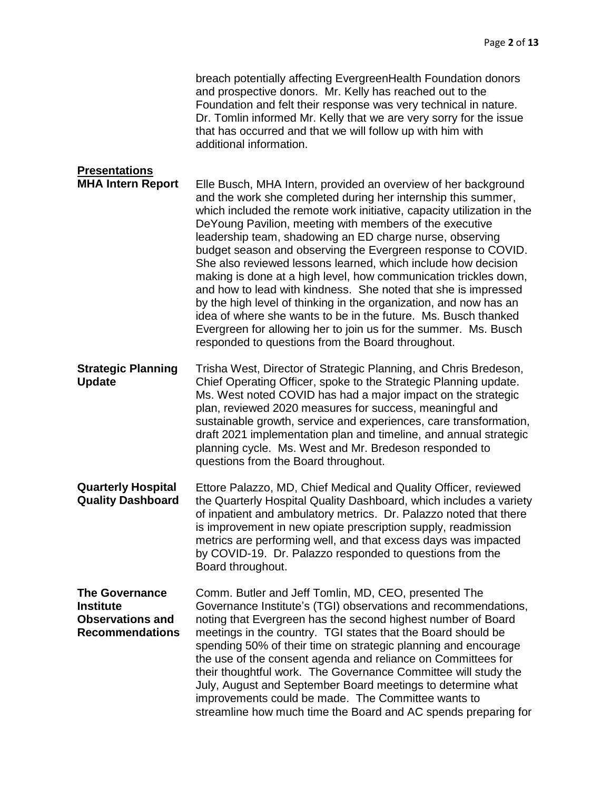|                                                                                                | breach potentially affecting EvergreenHealth Foundation donors<br>and prospective donors. Mr. Kelly has reached out to the<br>Foundation and felt their response was very technical in nature.<br>Dr. Tomlin informed Mr. Kelly that we are very sorry for the issue<br>that has occurred and that we will follow up with him with<br>additional information.                                                                                                                                                                                                                                                                                                                                                                                                                                                                                                          |
|------------------------------------------------------------------------------------------------|------------------------------------------------------------------------------------------------------------------------------------------------------------------------------------------------------------------------------------------------------------------------------------------------------------------------------------------------------------------------------------------------------------------------------------------------------------------------------------------------------------------------------------------------------------------------------------------------------------------------------------------------------------------------------------------------------------------------------------------------------------------------------------------------------------------------------------------------------------------------|
| <b>Presentations</b><br><b>MHA Intern Report</b>                                               | Elle Busch, MHA Intern, provided an overview of her background<br>and the work she completed during her internship this summer,<br>which included the remote work initiative, capacity utilization in the<br>DeYoung Pavilion, meeting with members of the executive<br>leadership team, shadowing an ED charge nurse, observing<br>budget season and observing the Evergreen response to COVID.<br>She also reviewed lessons learned, which include how decision<br>making is done at a high level, how communication trickles down,<br>and how to lead with kindness. She noted that she is impressed<br>by the high level of thinking in the organization, and now has an<br>idea of where she wants to be in the future. Ms. Busch thanked<br>Evergreen for allowing her to join us for the summer. Ms. Busch<br>responded to questions from the Board throughout. |
| <b>Strategic Planning</b><br><b>Update</b>                                                     | Trisha West, Director of Strategic Planning, and Chris Bredeson,<br>Chief Operating Officer, spoke to the Strategic Planning update.<br>Ms. West noted COVID has had a major impact on the strategic<br>plan, reviewed 2020 measures for success, meaningful and<br>sustainable growth, service and experiences, care transformation,<br>draft 2021 implementation plan and timeline, and annual strategic<br>planning cycle. Ms. West and Mr. Bredeson responded to<br>questions from the Board throughout.                                                                                                                                                                                                                                                                                                                                                           |
| <b>Quarterly Hospital</b><br><b>Quality Dashboard</b>                                          | Ettore Palazzo, MD, Chief Medical and Quality Officer, reviewed<br>the Quarterly Hospital Quality Dashboard, which includes a variety<br>of inpatient and ambulatory metrics. Dr. Palazzo noted that there<br>is improvement in new opiate prescription supply, readmission<br>metrics are performing well, and that excess days was impacted<br>by COVID-19. Dr. Palazzo responded to questions from the<br>Board throughout.                                                                                                                                                                                                                                                                                                                                                                                                                                         |
| <b>The Governance</b><br><b>Institute</b><br><b>Observations and</b><br><b>Recommendations</b> | Comm. Butler and Jeff Tomlin, MD, CEO, presented The<br>Governance Institute's (TGI) observations and recommendations,<br>noting that Evergreen has the second highest number of Board<br>meetings in the country. TGI states that the Board should be<br>spending 50% of their time on strategic planning and encourage<br>the use of the consent agenda and reliance on Committees for<br>their thoughtful work. The Governance Committee will study the<br>July, August and September Board meetings to determine what<br>improvements could be made. The Committee wants to<br>streamline how much time the Board and AC spends preparing for                                                                                                                                                                                                                      |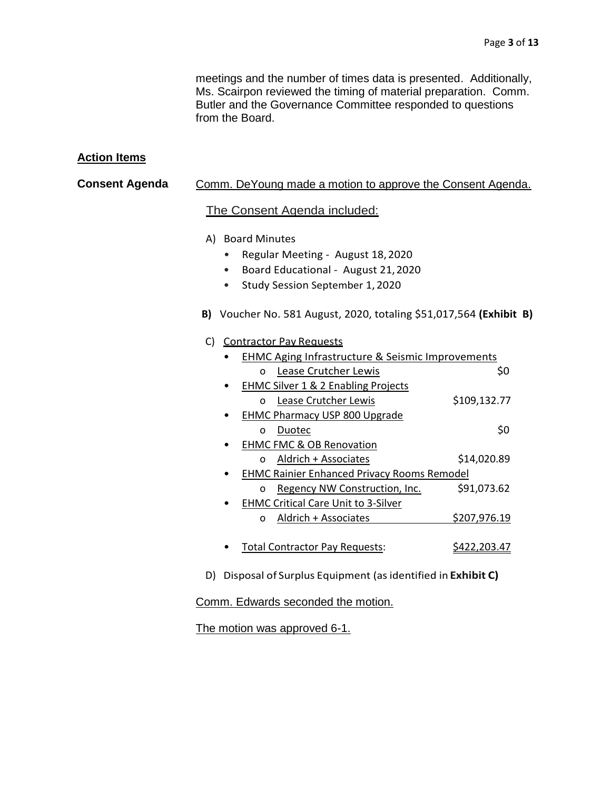meetings and the number of times data is presented. Additionally, Ms. Scairpon reviewed the timing of material preparation. Comm. Butler and the Governance Committee responded to questions from the Board.

### **Action Items**

### **Consent Agenda** Comm. DeYoung made a motion to approve the Consent Agenda.

#### The Consent Agenda included:

- A) Board Minutes
	- Regular Meeting August 18,2020
	- Board Educational August 21,2020
	- Study Session September 1, 2020
- **B)** Voucher No. 581 August, 2020, totaling \$51,017,564 **(Exhibit B)**

#### C) Contractor Pay Requests

| <b>EHMC Aging Infrastructure &amp; Seismic Improvements</b> |              |  |  |  |
|-------------------------------------------------------------|--------------|--|--|--|
| Lease Crutcher Lewis<br>O                                   | S0           |  |  |  |
| EHMC Silver 1 & 2 Enabling Projects                         |              |  |  |  |
| Lease Crutcher Lewis<br>O                                   | \$109,132.77 |  |  |  |
| <b>EHMC Pharmacy USP 800 Upgrade</b>                        |              |  |  |  |
| Duotec<br>n                                                 | \$0          |  |  |  |
| <b>EHMC FMC &amp; OB Renovation</b>                         |              |  |  |  |
| Aldrich + Associates<br>O                                   | \$14,020.89  |  |  |  |
| <b>EHMC Rainier Enhanced Privacy Rooms Remodel</b>          |              |  |  |  |
| Regency NW Construction, Inc.<br>O                          | \$91,073.62  |  |  |  |
| <b>EHMC Critical Care Unit to 3-Silver</b>                  |              |  |  |  |
| Aldrich + Associates<br>O                                   | \$207,976.19 |  |  |  |
|                                                             |              |  |  |  |
| <b>Total Contractor Pay Requests:</b>                       | S422.203.47  |  |  |  |

D) Disposal of Surplus Equipment (asidentified in **Exhibit C)**

#### Comm. Edwards seconded the motion.

The motion was approved 6-1.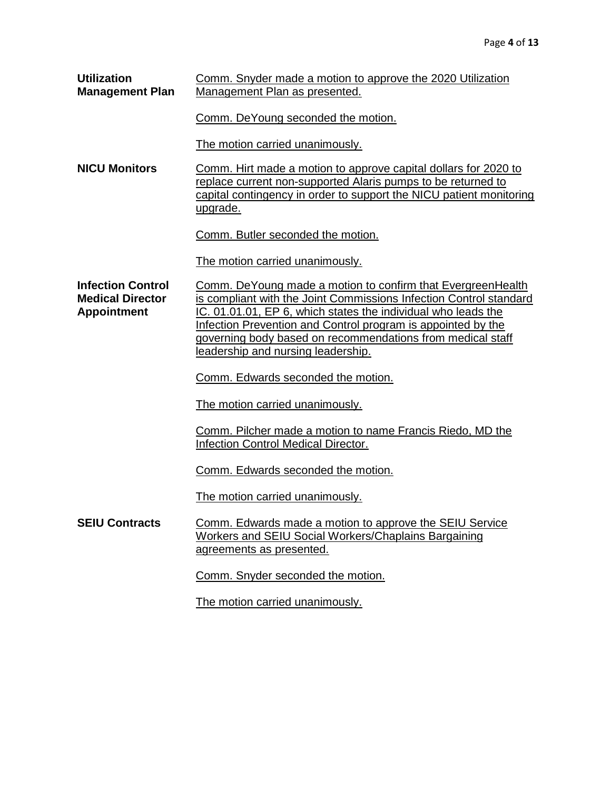| <b>Utilization</b><br><b>Management Plan</b>                              | Comm. Snyder made a motion to approve the 2020 Utilization<br>Management Plan as presented.                                                                                                                                                                                                                                                                            |  |  |
|---------------------------------------------------------------------------|------------------------------------------------------------------------------------------------------------------------------------------------------------------------------------------------------------------------------------------------------------------------------------------------------------------------------------------------------------------------|--|--|
|                                                                           | Comm. DeYoung seconded the motion.                                                                                                                                                                                                                                                                                                                                     |  |  |
|                                                                           | The motion carried unanimously.                                                                                                                                                                                                                                                                                                                                        |  |  |
| <b>NICU Monitors</b>                                                      | Comm. Hirt made a motion to approve capital dollars for 2020 to<br>replace current non-supported Alaris pumps to be returned to<br>capital contingency in order to support the NICU patient monitoring<br>upgrade.                                                                                                                                                     |  |  |
|                                                                           | Comm. Butler seconded the motion.                                                                                                                                                                                                                                                                                                                                      |  |  |
|                                                                           | The motion carried unanimously.                                                                                                                                                                                                                                                                                                                                        |  |  |
| <b>Infection Control</b><br><b>Medical Director</b><br><b>Appointment</b> | Comm. DeYoung made a motion to confirm that EvergreenHealth<br>is compliant with the Joint Commissions Infection Control standard<br>IC. 01.01.01, EP 6, which states the individual who leads the<br>Infection Prevention and Control program is appointed by the<br>governing body based on recommendations from medical staff<br>leadership and nursing leadership. |  |  |
|                                                                           | Comm. Edwards seconded the motion.                                                                                                                                                                                                                                                                                                                                     |  |  |
|                                                                           | The motion carried unanimously.                                                                                                                                                                                                                                                                                                                                        |  |  |
|                                                                           | Comm. Pilcher made a motion to name Francis Riedo, MD the<br><b>Infection Control Medical Director.</b>                                                                                                                                                                                                                                                                |  |  |
|                                                                           | Comm. Edwards seconded the motion.                                                                                                                                                                                                                                                                                                                                     |  |  |
|                                                                           | The motion carried unanimously.                                                                                                                                                                                                                                                                                                                                        |  |  |
| <b>SEIU Contracts</b>                                                     | Comm. Edwards made a motion to approve the SEIU Service<br><b>Workers and SEIU Social Workers/Chaplains Bargaining</b><br>agreements as presented.                                                                                                                                                                                                                     |  |  |
|                                                                           | Comm. Snyder seconded the motion.                                                                                                                                                                                                                                                                                                                                      |  |  |
|                                                                           | The motion carried unanimously.                                                                                                                                                                                                                                                                                                                                        |  |  |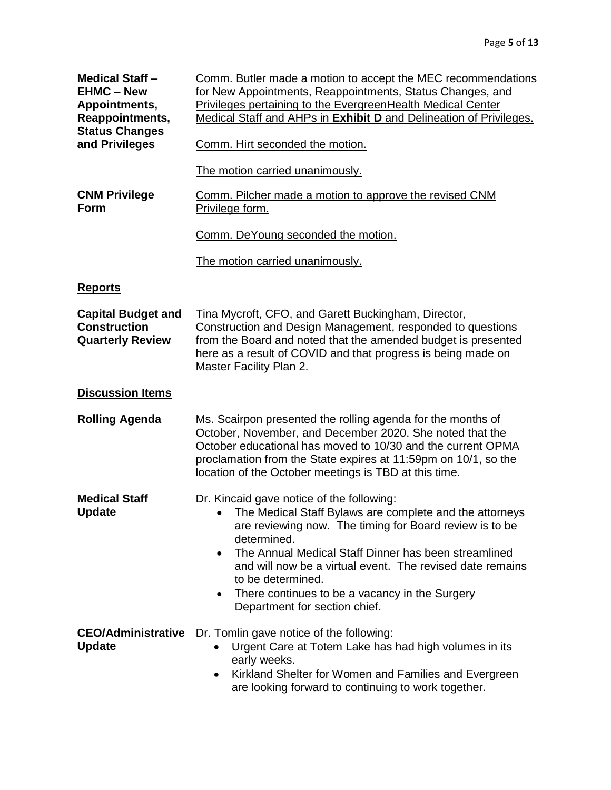| <b>Medical Staff -</b><br><b>EHMC - New</b><br>Appointments,<br>Reappointments,<br><b>Status Changes</b><br>and Privileges | Comm. Butler made a motion to accept the MEC recommendations<br>for New Appointments, Reappointments, Status Changes, and<br>Privileges pertaining to the EvergreenHealth Medical Center<br>Medical Staff and AHPs in Exhibit D and Delineation of Privileges.<br>Comm. Hirt seconded the motion.                                                                                                                                     |
|----------------------------------------------------------------------------------------------------------------------------|---------------------------------------------------------------------------------------------------------------------------------------------------------------------------------------------------------------------------------------------------------------------------------------------------------------------------------------------------------------------------------------------------------------------------------------|
|                                                                                                                            |                                                                                                                                                                                                                                                                                                                                                                                                                                       |
|                                                                                                                            | The motion carried unanimously.                                                                                                                                                                                                                                                                                                                                                                                                       |
| <b>CNM Privilege</b><br>Form                                                                                               | Comm. Pilcher made a motion to approve the revised CNM<br>Privilege form.                                                                                                                                                                                                                                                                                                                                                             |
|                                                                                                                            | Comm. DeYoung seconded the motion.                                                                                                                                                                                                                                                                                                                                                                                                    |
|                                                                                                                            | The motion carried unanimously.                                                                                                                                                                                                                                                                                                                                                                                                       |
| <b>Reports</b>                                                                                                             |                                                                                                                                                                                                                                                                                                                                                                                                                                       |
| <b>Capital Budget and</b><br><b>Construction</b><br><b>Quarterly Review</b>                                                | Tina Mycroft, CFO, and Garett Buckingham, Director,<br>Construction and Design Management, responded to questions<br>from the Board and noted that the amended budget is presented<br>here as a result of COVID and that progress is being made on<br>Master Facility Plan 2.                                                                                                                                                         |
| <b>Discussion Items</b>                                                                                                    |                                                                                                                                                                                                                                                                                                                                                                                                                                       |
| <b>Rolling Agenda</b>                                                                                                      | Ms. Scairpon presented the rolling agenda for the months of<br>October, November, and December 2020. She noted that the<br>October educational has moved to 10/30 and the current OPMA<br>proclamation from the State expires at 11:59pm on 10/1, so the<br>location of the October meetings is TBD at this time.                                                                                                                     |
| <b>Medical Staff</b><br><b>Update</b>                                                                                      | Dr. Kincaid gave notice of the following:<br>The Medical Staff Bylaws are complete and the attorneys<br>are reviewing now. The timing for Board review is to be<br>determined.<br>The Annual Medical Staff Dinner has been streamlined<br>$\bullet$<br>and will now be a virtual event. The revised date remains<br>to be determined.<br>There continues to be a vacancy in the Surgery<br>$\bullet$<br>Department for section chief. |
| <b>CEO/Administrative</b><br><b>Update</b>                                                                                 | Dr. Tomlin gave notice of the following:<br>Urgent Care at Totem Lake has had high volumes in its<br>early weeks.<br>Kirkland Shelter for Women and Families and Evergreen<br>$\bullet$<br>are looking forward to continuing to work together.                                                                                                                                                                                        |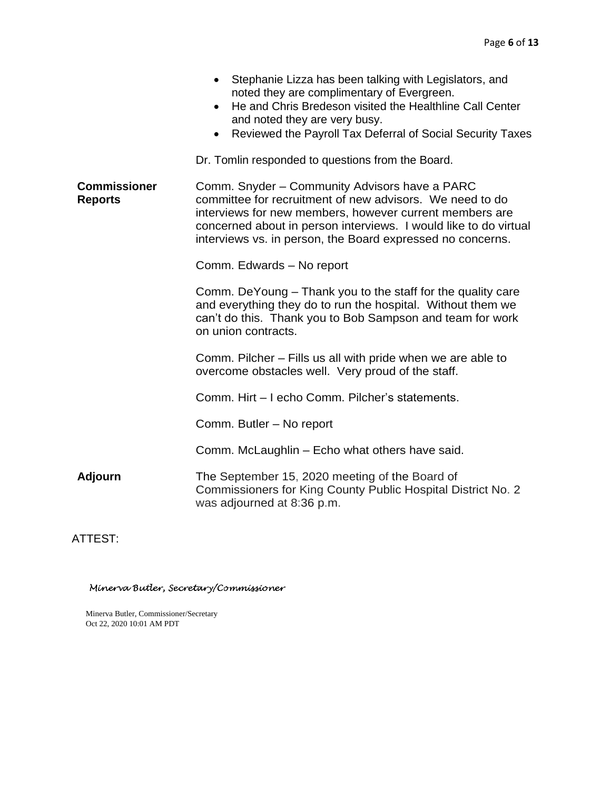|                                       | Stephanie Lizza has been talking with Legislators, and<br>noted they are complimentary of Evergreen.<br>He and Chris Bredeson visited the Healthline Call Center<br>$\bullet$<br>and noted they are very busy.<br>Reviewed the Payroll Tax Deferral of Social Security Taxes<br>$\bullet$              |  |  |
|---------------------------------------|--------------------------------------------------------------------------------------------------------------------------------------------------------------------------------------------------------------------------------------------------------------------------------------------------------|--|--|
|                                       | Dr. Tomlin responded to questions from the Board.                                                                                                                                                                                                                                                      |  |  |
| <b>Commissioner</b><br><b>Reports</b> | Comm. Snyder - Community Advisors have a PARC<br>committee for recruitment of new advisors. We need to do<br>interviews for new members, however current members are<br>concerned about in person interviews. I would like to do virtual<br>interviews vs. in person, the Board expressed no concerns. |  |  |
|                                       | Comm. Edwards - No report                                                                                                                                                                                                                                                                              |  |  |
|                                       | Comm. DeYoung – Thank you to the staff for the quality care<br>and everything they do to run the hospital. Without them we<br>can't do this. Thank you to Bob Sampson and team for work<br>on union contracts.                                                                                         |  |  |
|                                       | Comm. Pilcher – Fills us all with pride when we are able to<br>overcome obstacles well. Very proud of the staff.                                                                                                                                                                                       |  |  |
|                                       | Comm. Hirt - I echo Comm. Pilcher's statements.                                                                                                                                                                                                                                                        |  |  |
|                                       | Comm. Butler - No report                                                                                                                                                                                                                                                                               |  |  |
|                                       | Comm. McLaughlin - Echo what others have said.                                                                                                                                                                                                                                                         |  |  |
| <b>Adjourn</b>                        | The September 15, 2020 meeting of the Board of<br>Commissioners for King County Public Hospital District No. 2<br>was adjourned at 8:36 p.m.                                                                                                                                                           |  |  |

ATTEST:

Minerva Butler, Secretary/Commissioner

Minerva Butler, Commissioner/Secretary Oct 22, 2020 10:01 AM PDT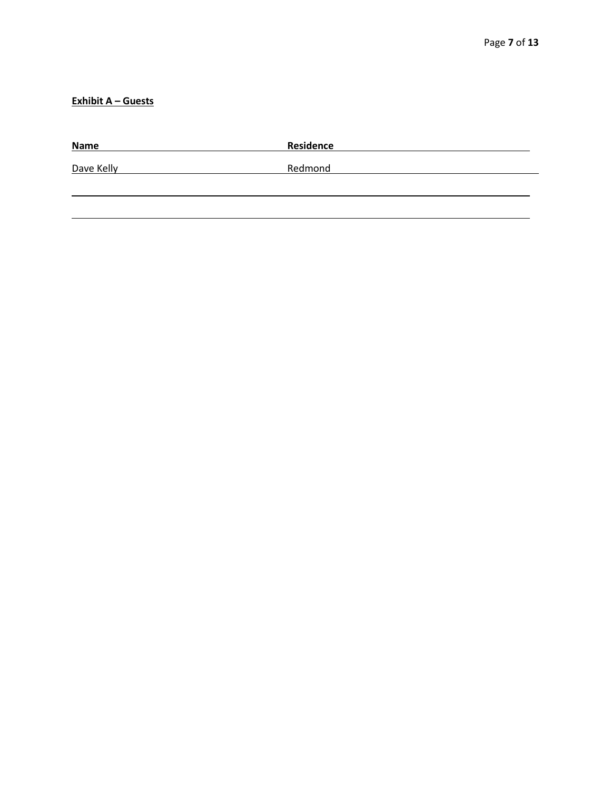## **Exhibit A – Guests**

| <b>Name</b> | Residence |
|-------------|-----------|
| Dave Kelly  | Redmond   |
|             |           |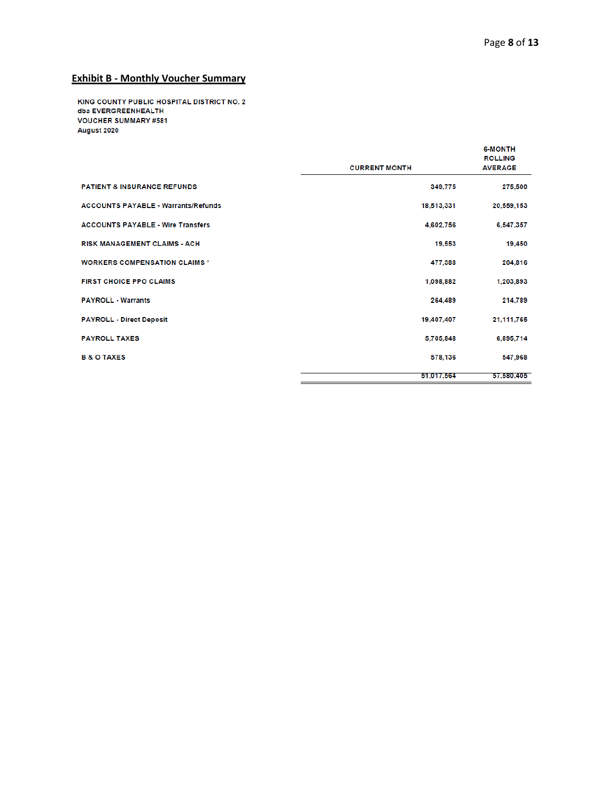# **Exhibit B - Monthly Voucher Summary**

KING COUNTY PUBLIC HOSPITAL DISTRICT NO. 2 dba EVERGREENHEALTH **VOUCHER SUMMARY #581** August 2020

|                                            | <b>CURRENT MONTH</b> | <b>6-MONTH</b><br><b>ROLLING</b><br><b>AVERAGE</b> |
|--------------------------------------------|----------------------|----------------------------------------------------|
| <b>PATIENT &amp; INSURANCE REFUNDS</b>     | 349,775              | 275,500                                            |
| <b>ACCOUNTS PAYABLE - Warrants/Refunds</b> | 18,513,331           | 20,559,153                                         |
| <b>ACCOUNTS PAYABLE - Wire Transfers</b>   | 4.602.756            | 6,547,357                                          |
| <b>RISK MANAGEMENT CLAIMS - ACH</b>        | 19,553               | 19,450                                             |
| <b>WORKERS COMPENSATION CLAIMS*</b>        | 477,388              | 204,816                                            |
| <b>FIRST CHOICE PPO CLAIMS</b>             | 1.098.882            | 1,203,893                                          |
| <b>PAYROLL - Warrants</b>                  | 264.489              | 214,789                                            |
| <b>PAYROLL - Direct Deposit</b>            | 19,407,407           | 21,111,765                                         |
| <b>PAYROLL TAXES</b>                       | 5,705,848            | 6,895,714                                          |
| <b>B &amp; O TAXES</b>                     | 578,136              | 547,968                                            |
|                                            | 51,017,564           | 57.580.405                                         |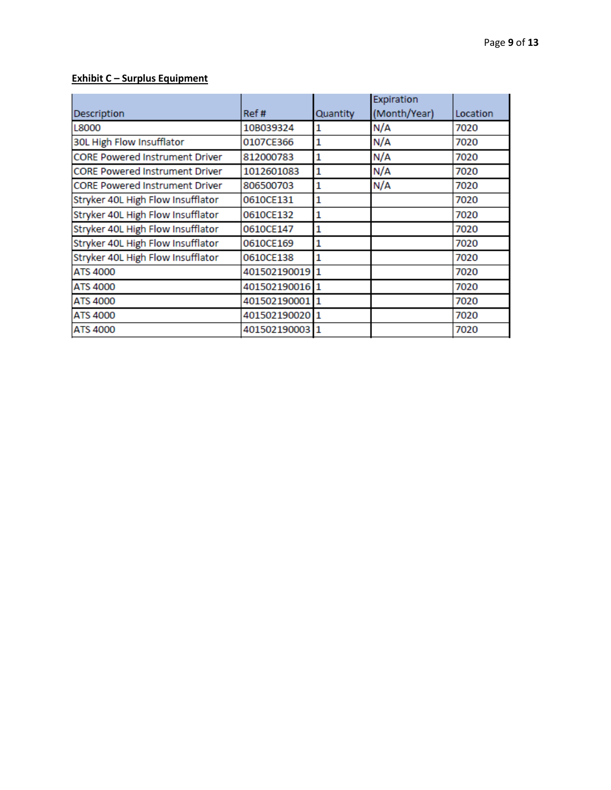#### **Exhibit C – Surplus Equipment**

|                                       |                |              | Expiration   |          |
|---------------------------------------|----------------|--------------|--------------|----------|
| Description                           | Ref#           | Quantity     | (Month/Year) | Location |
| L8000                                 | 10B039324      |              | N/A          | 7020     |
| 30L High Flow Insufflator             | 0107CE366      |              | N/A          | 7020     |
| <b>CORE Powered Instrument Driver</b> | 812000783      | 1            | N/A          | 7020     |
| <b>CORE Powered Instrument Driver</b> | 1012601083     | $\mathbf{1}$ | N/A          | 7020     |
| <b>CORE Powered Instrument Driver</b> | 806500703      | 1            | N/A          | 7020     |
| Stryker 40L High Flow Insufflator     | 0610CE131      | 1            |              | 7020     |
| Stryker 40L High Flow Insufflator     | 0610CE132      | 1            |              | 7020     |
| Stryker 40L High Flow Insufflator     | 0610CE147      | 1            |              | 7020     |
| Stryker 40L High Flow Insufflator     | 0610CE169      | 1            |              | 7020     |
| Stryker 40L High Flow Insufflator     | 0610CE138      |              |              | 7020     |
| <b>ATS 4000</b>                       | 401502190019   |              |              | 7020     |
| <b>ATS 4000</b>                       | 401502190016 1 |              |              | 7020     |
| <b>ATS 4000</b>                       | 401502190001 1 |              |              | 7020     |
| <b>ATS 4000</b>                       | 401502190020   |              |              | 7020     |
| <b>ATS 4000</b>                       | 401502190003 1 |              |              | 7020     |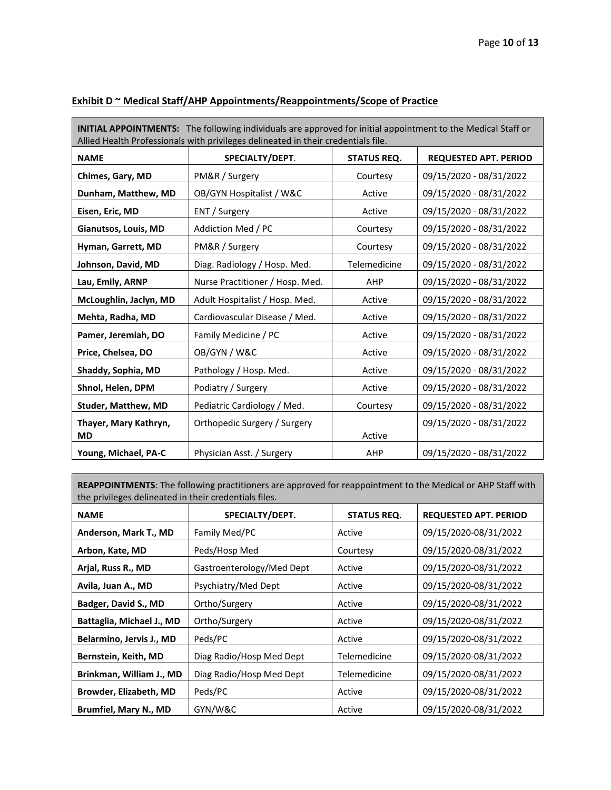| <b>INITIAL APPOINTMENTS:</b> The following individuals are approved for initial appointment to the Medical Staff or<br>Allied Health Professionals with privileges delineated in their credentials file. |                                 |                    |                              |  |
|----------------------------------------------------------------------------------------------------------------------------------------------------------------------------------------------------------|---------------------------------|--------------------|------------------------------|--|
| <b>NAME</b>                                                                                                                                                                                              | SPECIALTY/DEPT.                 | <b>STATUS REQ.</b> | <b>REQUESTED APT. PERIOD</b> |  |
| Chimes, Gary, MD                                                                                                                                                                                         | PM&R / Surgery                  | Courtesy           | 09/15/2020 - 08/31/2022      |  |
| Dunham, Matthew, MD                                                                                                                                                                                      | OB/GYN Hospitalist / W&C        | Active             | 09/15/2020 - 08/31/2022      |  |
| Eisen, Eric, MD                                                                                                                                                                                          | ENT / Surgery                   | Active             | 09/15/2020 - 08/31/2022      |  |
| Gianutsos, Louis, MD                                                                                                                                                                                     | Addiction Med / PC              | Courtesy           | 09/15/2020 - 08/31/2022      |  |
| Hyman, Garrett, MD                                                                                                                                                                                       | PM&R / Surgery                  | Courtesy           | 09/15/2020 - 08/31/2022      |  |
| Johnson, David, MD                                                                                                                                                                                       | Diag. Radiology / Hosp. Med.    | Telemedicine       | 09/15/2020 - 08/31/2022      |  |
| Lau, Emily, ARNP                                                                                                                                                                                         | Nurse Practitioner / Hosp. Med. | <b>AHP</b>         | 09/15/2020 - 08/31/2022      |  |
| McLoughlin, Jaclyn, MD                                                                                                                                                                                   | Adult Hospitalist / Hosp. Med.  | Active             | 09/15/2020 - 08/31/2022      |  |
| Mehta, Radha, MD                                                                                                                                                                                         | Cardiovascular Disease / Med.   | Active             | 09/15/2020 - 08/31/2022      |  |
| Pamer, Jeremiah, DO                                                                                                                                                                                      | Family Medicine / PC            | Active             | 09/15/2020 - 08/31/2022      |  |
| Price, Chelsea, DO                                                                                                                                                                                       | OB/GYN / W&C                    | Active             | 09/15/2020 - 08/31/2022      |  |
| Shaddy, Sophia, MD                                                                                                                                                                                       | Pathology / Hosp. Med.          | Active             | 09/15/2020 - 08/31/2022      |  |
| Shnol, Helen, DPM                                                                                                                                                                                        | Podiatry / Surgery              | Active             | 09/15/2020 - 08/31/2022      |  |
| <b>Studer, Matthew, MD</b>                                                                                                                                                                               | Pediatric Cardiology / Med.     | Courtesy           | 09/15/2020 - 08/31/2022      |  |
| Thayer, Mary Kathryn,<br><b>MD</b>                                                                                                                                                                       | Orthopedic Surgery / Surgery    | Active             | 09/15/2020 - 08/31/2022      |  |
| Young, Michael, PA-C                                                                                                                                                                                     | Physician Asst. / Surgery       | AHP                | 09/15/2020 - 08/31/2022      |  |

## **Exhibit D ~ Medical Staff/AHP Appointments/Reappointments/Scope of Practice**

**REAPPOINTMENTS**: The following practitioners are approved for reappointment to the Medical or AHP Staff with the privileges delineated in their credentials files.

| <b>NAME</b>                   | SPECIALTY/DEPT.           | <b>STATUS REQ.</b> | <b>REQUESTED APT. PERIOD</b> |
|-------------------------------|---------------------------|--------------------|------------------------------|
| Anderson, Mark T., MD         | Family Med/PC             | Active             | 09/15/2020-08/31/2022        |
| Arbon, Kate, MD               | Peds/Hosp Med             | Courtesy           | 09/15/2020-08/31/2022        |
| Arjal, Russ R., MD            | Gastroenterology/Med Dept | Active             | 09/15/2020-08/31/2022        |
| Avila, Juan A., MD            | Psychiatry/Med Dept       | Active             | 09/15/2020-08/31/2022        |
| Badger, David S., MD          | Ortho/Surgery             | Active             | 09/15/2020-08/31/2022        |
| Battaglia, Michael J., MD     | Ortho/Surgery             | Active             | 09/15/2020-08/31/2022        |
| Belarmino, Jervis J., MD      | Peds/PC                   | Active             | 09/15/2020-08/31/2022        |
| Bernstein, Keith, MD          | Diag Radio/Hosp Med Dept  | Telemedicine       | 09/15/2020-08/31/2022        |
| Brinkman, William J., MD      | Diag Radio/Hosp Med Dept  | Telemedicine       | 09/15/2020-08/31/2022        |
| <b>Browder, Elizabeth, MD</b> | Peds/PC                   | Active             | 09/15/2020-08/31/2022        |
| Brumfiel, Mary N., MD         | GYN/W&C                   | Active             | 09/15/2020-08/31/2022        |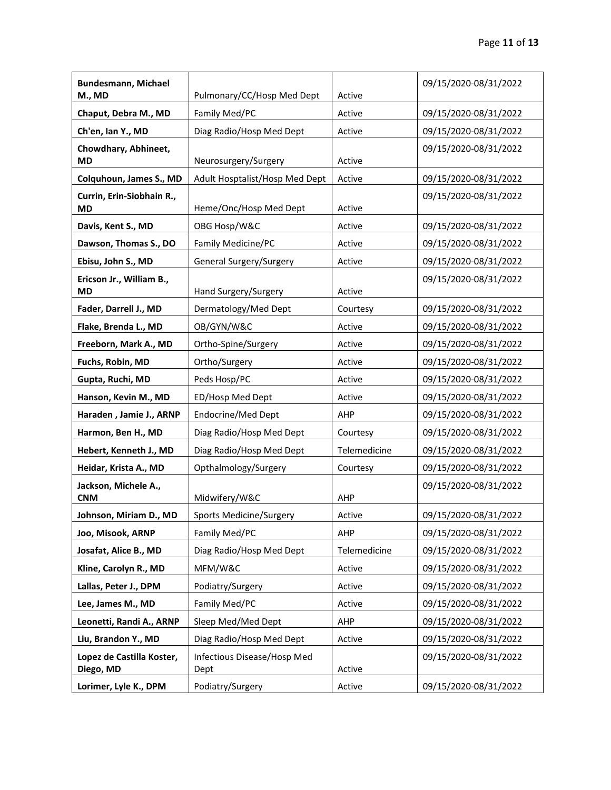| <b>Bundesmann, Michael</b>             |                                     |              | 09/15/2020-08/31/2022 |
|----------------------------------------|-------------------------------------|--------------|-----------------------|
| M., MD                                 | Pulmonary/CC/Hosp Med Dept          | Active       |                       |
| Chaput, Debra M., MD                   | Family Med/PC                       | Active       | 09/15/2020-08/31/2022 |
| Ch'en, Ian Y., MD                      | Diag Radio/Hosp Med Dept            | Active       | 09/15/2020-08/31/2022 |
| Chowdhary, Abhineet,<br><b>MD</b>      | Neurosurgery/Surgery                | Active       | 09/15/2020-08/31/2022 |
| Colquhoun, James S., MD                | Adult Hosptalist/Hosp Med Dept      | Active       | 09/15/2020-08/31/2022 |
| Currin, Erin-Siobhain R.,              |                                     |              | 09/15/2020-08/31/2022 |
| <b>MD</b>                              | Heme/Onc/Hosp Med Dept              | Active       |                       |
| Davis, Kent S., MD                     | OBG Hosp/W&C                        | Active       | 09/15/2020-08/31/2022 |
| Dawson, Thomas S., DO                  | Family Medicine/PC                  | Active       | 09/15/2020-08/31/2022 |
| Ebisu, John S., MD                     | General Surgery/Surgery             | Active       | 09/15/2020-08/31/2022 |
| Ericson Jr., William B.,<br><b>MD</b>  | Hand Surgery/Surgery                | Active       | 09/15/2020-08/31/2022 |
| Fader, Darrell J., MD                  | Dermatology/Med Dept                | Courtesy     | 09/15/2020-08/31/2022 |
| Flake, Brenda L., MD                   | OB/GYN/W&C                          | Active       | 09/15/2020-08/31/2022 |
| Freeborn, Mark A., MD                  | Ortho-Spine/Surgery                 | Active       | 09/15/2020-08/31/2022 |
| Fuchs, Robin, MD                       | Ortho/Surgery                       | Active       | 09/15/2020-08/31/2022 |
| Gupta, Ruchi, MD                       | Peds Hosp/PC                        | Active       | 09/15/2020-08/31/2022 |
| Hanson, Kevin M., MD                   | ED/Hosp Med Dept                    | Active       | 09/15/2020-08/31/2022 |
| Haraden, Jamie J., ARNP                | Endocrine/Med Dept                  | AHP          | 09/15/2020-08/31/2022 |
| Harmon, Ben H., MD                     | Diag Radio/Hosp Med Dept            | Courtesy     | 09/15/2020-08/31/2022 |
| Hebert, Kenneth J., MD                 | Diag Radio/Hosp Med Dept            | Telemedicine | 09/15/2020-08/31/2022 |
| Heidar, Krista A., MD                  | Opthalmology/Surgery                | Courtesy     | 09/15/2020-08/31/2022 |
| Jackson, Michele A.,<br><b>CNM</b>     | Midwifery/W&C                       | AHP          | 09/15/2020-08/31/2022 |
| Johnson, Miriam D., MD                 | Sports Medicine/Surgery             | Active       | 09/15/2020-08/31/2022 |
| Joo, Misook, ARNP                      | Family Med/PC                       | AHP          | 09/15/2020-08/31/2022 |
| Josafat, Alice B., MD                  | Diag Radio/Hosp Med Dept            | Telemedicine | 09/15/2020-08/31/2022 |
| Kline, Carolyn R., MD                  | MFM/W&C                             | Active       | 09/15/2020-08/31/2022 |
| Lallas, Peter J., DPM                  | Podiatry/Surgery                    | Active       | 09/15/2020-08/31/2022 |
| Lee, James M., MD                      | Family Med/PC                       | Active       | 09/15/2020-08/31/2022 |
| Leonetti, Randi A., ARNP               | Sleep Med/Med Dept                  | AHP          | 09/15/2020-08/31/2022 |
| Liu, Brandon Y., MD                    | Diag Radio/Hosp Med Dept            | Active       | 09/15/2020-08/31/2022 |
| Lopez de Castilla Koster,<br>Diego, MD | Infectious Disease/Hosp Med<br>Dept | Active       | 09/15/2020-08/31/2022 |
| Lorimer, Lyle K., DPM                  | Podiatry/Surgery                    | Active       | 09/15/2020-08/31/2022 |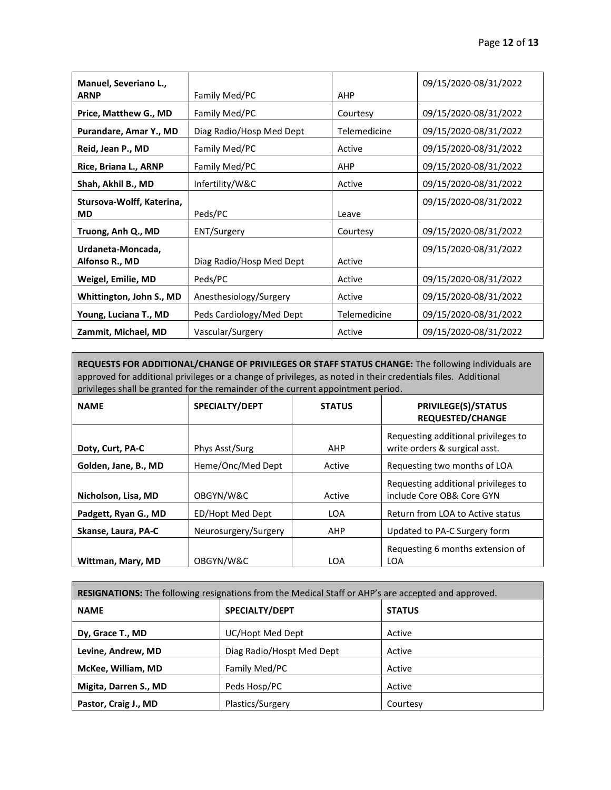| Manuel, Severiano L.,     |                          |              | 09/15/2020-08/31/2022 |
|---------------------------|--------------------------|--------------|-----------------------|
| <b>ARNP</b>               | Family Med/PC            | <b>AHP</b>   |                       |
| Price, Matthew G., MD     | Family Med/PC            | Courtesy     | 09/15/2020-08/31/2022 |
| Purandare, Amar Y., MD    | Diag Radio/Hosp Med Dept | Telemedicine | 09/15/2020-08/31/2022 |
| Reid, Jean P., MD         | Family Med/PC            | Active       | 09/15/2020-08/31/2022 |
| Rice, Briana L., ARNP     | Family Med/PC            | <b>AHP</b>   | 09/15/2020-08/31/2022 |
| Shah, Akhil B., MD        | Infertility/W&C          | Active       | 09/15/2020-08/31/2022 |
| Stursova-Wolff, Katerina, |                          |              | 09/15/2020-08/31/2022 |
| <b>MD</b>                 | Peds/PC                  | Leave        |                       |
| Truong, Anh Q., MD        | ENT/Surgery              | Courtesy     | 09/15/2020-08/31/2022 |
| Urdaneta-Moncada,         |                          |              | 09/15/2020-08/31/2022 |
| Alfonso R., MD            | Diag Radio/Hosp Med Dept | Active       |                       |
| Weigel, Emilie, MD        | Peds/PC                  | Active       | 09/15/2020-08/31/2022 |
| Whittington, John S., MD  | Anesthesiology/Surgery   | Active       | 09/15/2020-08/31/2022 |
| Young, Luciana T., MD     | Peds Cardiology/Med Dept | Telemedicine | 09/15/2020-08/31/2022 |
| Zammit, Michael, MD       | Vascular/Surgery         | Active       | 09/15/2020-08/31/2022 |

**REQUESTS FOR ADDITIONAL/CHANGE OF PRIVILEGES OR STAFF STATUS CHANGE:** The following individuals are approved for additional privileges or a change of privileges, as noted in their credentials files. Additional privileges shall be granted for the remainder of the current appointment period.

| <b>NAME</b>          | SPECIALTY/DEPT       | <b>STATUS</b> | <b>PRIVILEGE(S)/STATUS</b><br><b>REQUESTED/CHANGE</b>                |
|----------------------|----------------------|---------------|----------------------------------------------------------------------|
| Doty, Curt, PA-C     | Phys Asst/Surg       | AHP           | Requesting additional privileges to<br>write orders & surgical asst. |
| Golden, Jane, B., MD | Heme/Onc/Med Dept    | Active        | Requesting two months of LOA                                         |
| Nicholson, Lisa, MD  | OBGYN/W&C            | Active        | Requesting additional privileges to<br>include Core OB& Core GYN     |
| Padgett, Ryan G., MD | ED/Hopt Med Dept     | <b>LOA</b>    | Return from LOA to Active status                                     |
| Skanse, Laura, PA-C  | Neurosurgery/Surgery | AHP           | Updated to PA-C Surgery form                                         |
| Wittman, Mary, MD    | OBGYN/W&C            | LOA           | Requesting 6 months extension of<br>LOA                              |

| RESIGNATIONS: The following resignations from the Medical Staff or AHP's are accepted and approved. |                           |               |  |  |
|-----------------------------------------------------------------------------------------------------|---------------------------|---------------|--|--|
| <b>NAME</b>                                                                                         | SPECIALTY/DEPT            | <b>STATUS</b> |  |  |
| Dy, Grace T., MD                                                                                    | UC/Hopt Med Dept          | Active        |  |  |
| Levine, Andrew, MD                                                                                  | Diag Radio/Hospt Med Dept | Active        |  |  |
| McKee, William, MD                                                                                  | Family Med/PC             | Active        |  |  |
| Migita, Darren S., MD                                                                               | Peds Hosp/PC              | Active        |  |  |
| Pastor, Craig J., MD                                                                                | Plastics/Surgery          | Courtesy      |  |  |